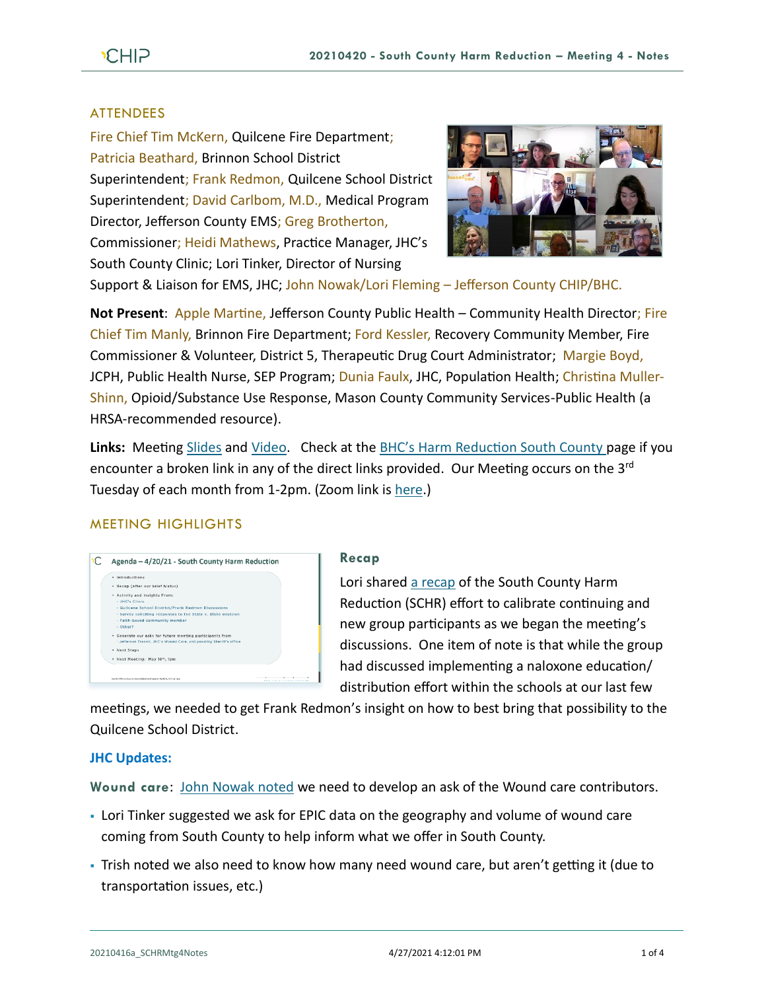## ATTENDEES

Fire Chief Tim McKern, Quilcene Fire Department; Patricia Beathard, Brinnon School District Superintendent; Frank Redmon, Quilcene School District Superintendent; David Carlbom, M.D., Medical Program Director, Jefferson County EMS; Greg Brotherton, Commissioner; Heidi Mathews, Practice Manager, JHC's South County Clinic; Lori Tinker, Director of Nursing



Support & Liaison for EMS, JHC; John Nowak/Lori Fleming – Jefferson County CHIP/BHC.

**Not Present: Apple Martine, Jefferson County Public Health – Community Health Director; Fire** Chief Tim Manly, Brinnon Fire Department; Ford Kessler, Recovery Community Member, Fire Commissioner & Volunteer, District 5, Therapeutic Drug Court Administrator; Margie Boyd, JCPH, Public Health Nurse, SEP Program; Dunia Faulx, JHC, Population Health; Christina Muller-Shinn, Opioid/Substance Use Response, Mason County Community Services-Public Health (a HRSA-recommended resource).

Links: Meeting [Slides](https://793b0af6-bf22-4c2c-91c8-8cc6fd2f172d.filesusr.com/ugd/2fdcdd_8a7af631ad4840eb9c7ba73d5679529c.pdf) and [Video.](https://www.youtube.com/watch?v=suDq1GZ2Ljg) Check at the **BHC's Harm Reduction South County page if you** encounter a broken link in any of the direct links provided. Our Meeting occurs on the 3<sup>rd</sup> Tuesday of each month from 1-2pm. (Zoom link i[s here.](https://zoom.us/j/97908186807?pwd=QTFtTTNJRkFnRzJwZ1poK2lvcWxUdz09))

# MEETING HIGHLIGHTS



#### **Recap**

Lori shared [a recap](https://youtu.be/suDq1GZ2Ljg?t=213) of the South County Harm Reduction (SCHR) effort to calibrate continuing and new group participants as we began the meeting's discussions. One item of note is that while the group had discussed implementing a naloxone education/ distribution effort within the schools at our last few

meetings, we needed to get Frank Redmon's insight on how to best bring that possibility to the Quilcene School District.

## **JHC Updates:**

**Wound care**: [John Nowak](https://youtu.be/suDq1GZ2Ljg?t=392) noted we need to develop an ask of the Wound care contributors.

- Lori Tinker suggested we ask for EPIC data on the geography and volume of wound care coming from South County to help inform what we offer in South County.
- Trish noted we also need to know how many need wound care, but aren't getting it (due to transportation issues, etc.)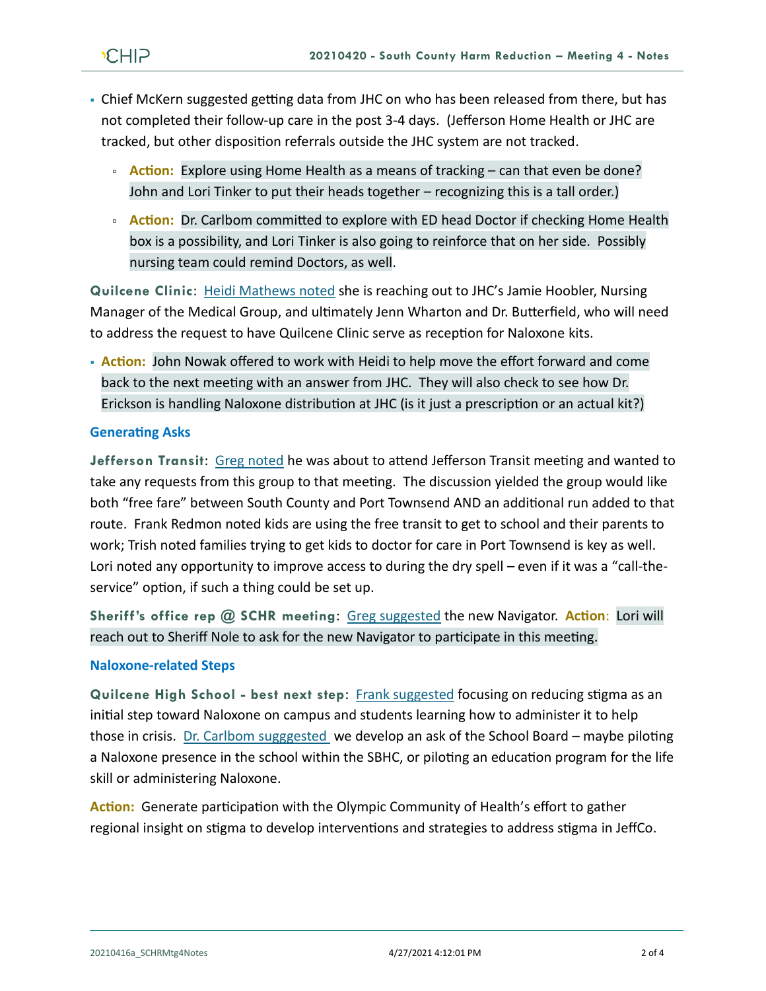- Chief McKern suggested getting data from JHC on who has been released from there, but has not completed their follow-up care in the post 3-4 days. (Jefferson Home Health or JHC are tracked, but other disposition referrals outside the JHC system are not tracked.
	- **Action:** Explore using Home Health as a means of tracking can that even be done? John and Lori Tinker to put their heads together – recognizing this is a tall order.)
	- **Action:** Dr. Carlbom committed to explore with ED head Doctor if checking Home Health box is a possibility, and Lori Tinker is also going to reinforce that on her side. Possibly nursing team could remind Doctors, as well.

**Quilcene Clinic**: [Heidi Mathews noted](https://youtu.be/suDq1GZ2Ljg?t=854) she is reaching out to JHC's Jamie Hoobler, Nursing Manager of the Medical Group, and ultimately Jenn Wharton and Dr. Butterfield, who will need to address the request to have Quilcene Clinic serve as reception for Naloxone kits.

▪ **Action:** John Nowak offered to work with Heidi to help move the effort forward and come back to the next meeting with an answer from JHC. They will also check to see how Dr. Erickson is handling Naloxone distribution at JHC (is it just a prescription or an actual kit?)

## **Generating Asks**

**Jefferson Transit**: [Greg noted](https://youtu.be/suDq1GZ2Ljg?t=1094) he was about to attend Jefferson Transit meeting and wanted to take any requests from this group to that meeting. The discussion yielded the group would like both "free fare" between South County and Port Townsend AND an additional run added to that route. Frank Redmon noted kids are using the free transit to get to school and their parents to work; Trish noted families trying to get kids to doctor for care in Port Townsend is key as well. Lori noted any opportunity to improve access to during the dry spell – even if it was a "call-theservice" option, if such a thing could be set up.

**Sheriff's office rep @ SCHR meeting**: [Greg suggested](https://youtu.be/suDq1GZ2Ljg?t=1354) the new Navigator. **Action**: Lori will reach out to Sheriff Nole to ask for the new Navigator to participate in this meeting.

## **Naloxone-related Steps**

**Quilcene High School - best next step**: Frank [suggested](https://youtu.be/suDq1GZ2Ljg?t=1495) focusing on reducing stigma as an initial step toward Naloxone on campus and students learning how to administer it to help those in crisis. [Dr. Carlbom sugggested](https://youtu.be/suDq1GZ2Ljg?t=1592) we develop an ask of the School Board – maybe piloting a Naloxone presence in the school within the SBHC, or piloting an education program for the life skill or administering Naloxone.

**Action:** Generate participation with the Olympic Community of Health's effort to gather regional insight on stigma to develop interventions and strategies to address stigma in JeffCo.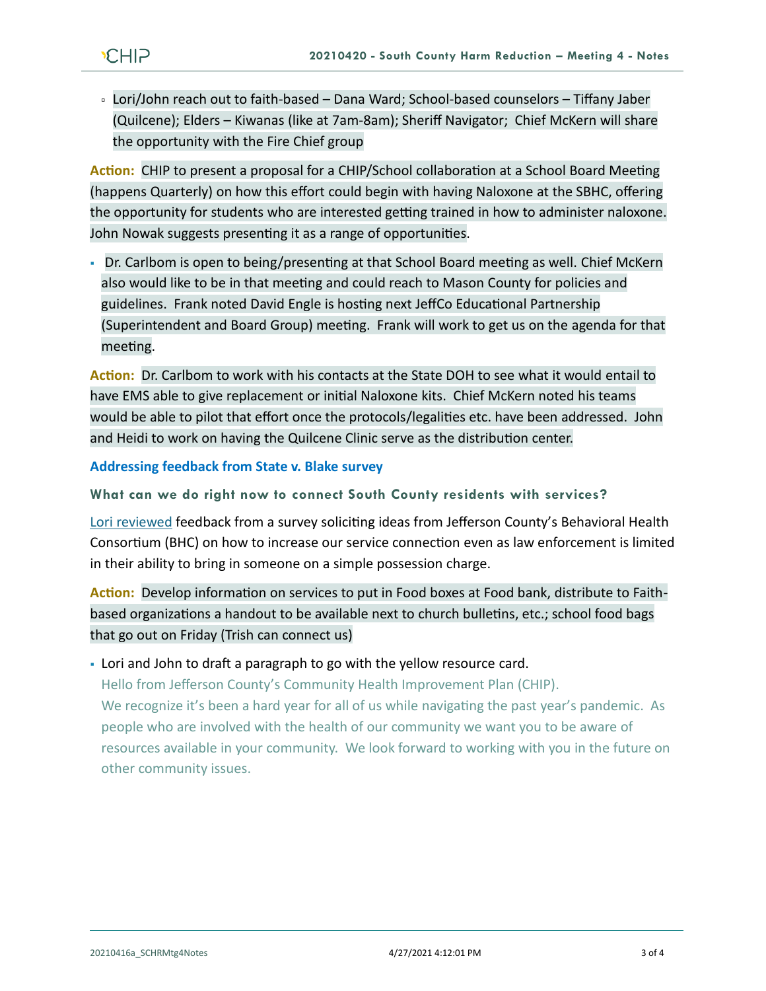Lori/John reach out to faith-based – Dana Ward; School-based counselors – Tiffany Jaber (Quilcene); Elders – Kiwanas (like at 7am-8am); Sheriff Navigator; Chief McKern will share the opportunity with the Fire Chief group

**Action:** CHIP to present a proposal for a CHIP/School collaboration at a School Board Meeting (happens Quarterly) on how this effort could begin with having Naloxone at the SBHC, offering the opportunity for students who are interested getting trained in how to administer naloxone. John Nowak suggests presenting it as a range of opportunities.

• Dr. Carlbom is open to being/presenting at that School Board meeting as well. Chief McKern also would like to be in that meeting and could reach to Mason County for policies and guidelines. Frank noted David Engle is hosting next JeffCo Educational Partnership (Superintendent and Board Group) meeting. Frank will work to get us on the agenda for that meeting.

**Action:** Dr. Carlbom to work with his contacts at the State DOH to see what it would entail to have EMS able to give replacement or initial Naloxone kits. Chief McKern noted his teams would be able to pilot that effort once the protocols/legalities etc. have been addressed. John and Heidi to work on having the Quilcene Clinic serve as the distribution center.

**Addressing feedback from State v. Blake survey** 

**What can we do right now to connect South County residents with services?**

[Lori reviewed](https://youtu.be/suDq1GZ2Ljg?t=2621) feedback from a survey soliciting ideas from Jefferson County's Behavioral Health Consortium (BHC) on how to increase our service connection even as law enforcement is limited in their ability to bring in someone on a simple possession charge.

**Action:** Develop information on services to put in Food boxes at Food bank, distribute to Faithbased organizations a handout to be available next to church bulletins, etc.; school food bags that go out on Friday (Trish can connect us)

• Lori and John to draft a paragraph to go with the yellow resource card.

Hello from Jefferson County's Community Health Improvement Plan (CHIP). We recognize it's been a hard year for all of us while navigating the past year's pandemic. As people who are involved with the health of our community we want you to be aware of resources available in your community. We look forward to working with you in the future on other community issues.